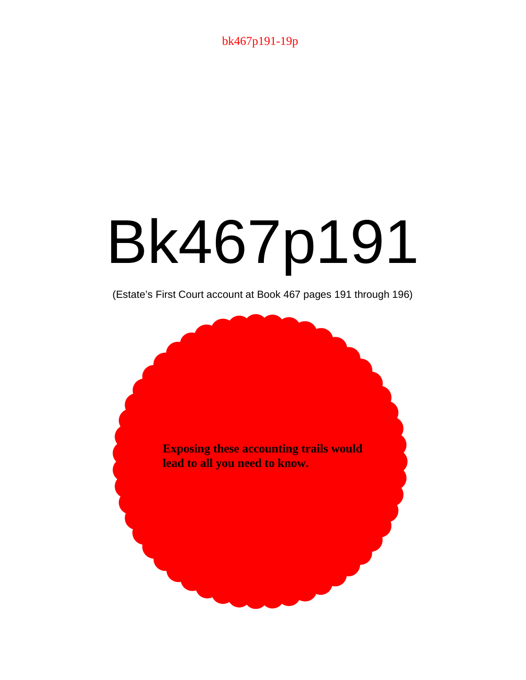bk467p191-19p

# Bk467p191

(Estate's First Court account at Book 467 pages 191 through 196)

**Exposing these accounting trails would lead to all you need to know.**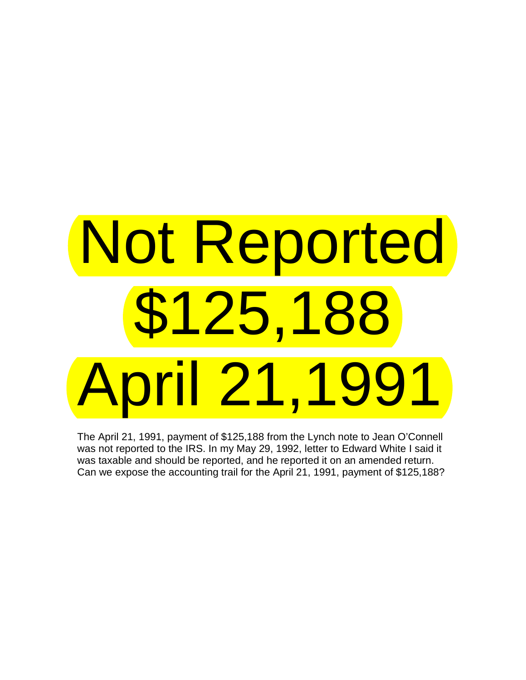# Not Reported \$125,188 April 21,1991

The April 21, 1991, payment of \$125,188 from the Lynch note to Jean O'Connell was not reported to the IRS. In my May 29, 1992, letter to Edward White I said it was taxable and should be reported, and he reported it on an amended return. Can we expose the accounting trail for the April 21, 1991, payment of \$125,188?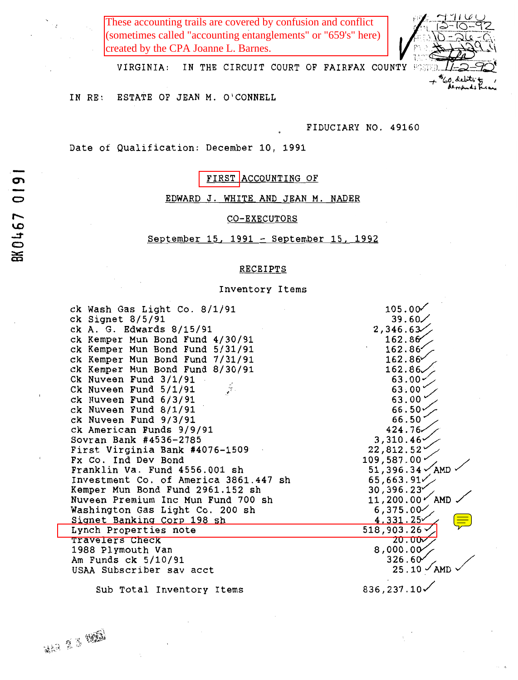These accounting trails are covered by confusion and conflict (sometimes called "accounting entanglements" or "659's" here) created by the CPA Joanne L. Barnes.



VIRGINIA: IN THE CIRCUIT COURT OF FAIRFAX COUNTY

IN RE: ESTATE OF JEAN M. O'CONNELL

FIDUCIARY NO. 49160

Date of Qualification: December 10, 1991

FIRST ACCOUNTING OF

EDWARD J. WHITE AND JEAN M. NADER

CO-EXECUTORS

## September 15, 1991 - September 15, 1992

### **RECEIPTS**

### Inventory Items

| ck Wash Gas Light Co. 8/1/91                   | 105.00                      |
|------------------------------------------------|-----------------------------|
| ck Signet 8/5/91                               | 39.60/                      |
| ck A. G. Edwards 8/15/91                       | 2,346.63                    |
| ck Kemper Mun Bond Fund 4/30/91                | 162.86                      |
| ck Kemper Mun Bond Fund 5/31/91                | 162.86                      |
| ck Kemper Mun Bond Fund 7/31/91                | 162.86                      |
| ck Kemper Mun Bond Fund 8/30/91                | 162.86~                     |
| Ck Nuveen Fund 3/1/91                          | $63.00 -$                   |
| $\hat{\mathcal{J}}$ .<br>Ck Nuveen Fund 5/1/91 | 63.00                       |
| ck Nuveen Fund 6/3/91                          | 63.00                       |
| ck Nuveen Fund 8/1/91                          | 66.50                       |
| ck Nuveen Fund 9/3/91                          | 66.50                       |
| ck American Funds 9/9/91                       | $424.76-$                   |
| Sovran Bank #4536-2785                         | 3,310.46                    |
| First Virginia Bank #4076-1509                 | 22,812.52                   |
| Fx Co. Ind Dev Bond                            | 109,587.00 *                |
| Franklin Va. Fund 4556.001 sh                  | $51,396.34 \times$ AMD      |
| Investment Co. of America 3861.447 sh          | 65,663.91 $\checkmark$      |
| Kemper Mun Bond Fund 2961.152 sh               | 30,396.23                   |
| Nuveen Premium Inc Mun Fund 700 sh             | $11,200.00 \, \text{/}$ AMD |
| Washington Gas Light Co. 200 sh                | 6,375.00                    |
| Signet Banking Corp 198 sh                     | 4,331.25                    |
| Lynch Properties note                          | 518,903.26                  |
| Travelers Check                                | 20.00                       |
| 1988 Plymouth Van                              | 8,000.0 $\alpha$            |
| Am Funds ck 5/10/91                            | 326.60                      |
| USAA Subscriber sav acct                       | $25.10 \;$<br>AMI           |
|                                                |                             |

Sub Total Inventory Items

WE AS WE

 $836, 237.10\checkmark$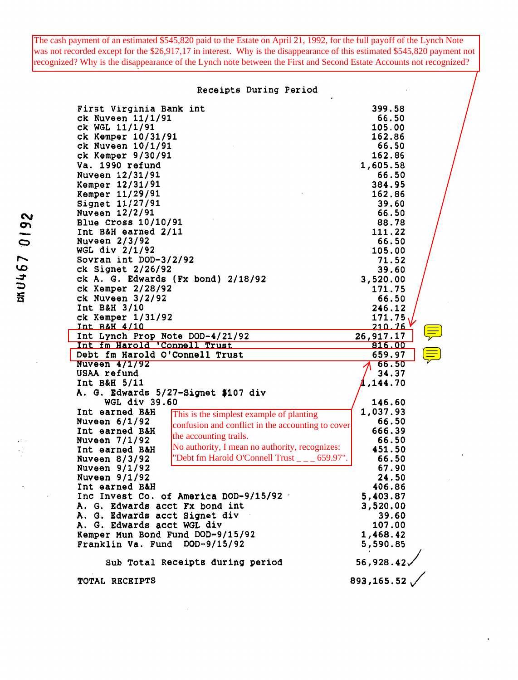The cash payment of an estimated \$545,820 paid to the Estate on April 21, 1992, for the full payoff of the Lynch Note was not recorded except for the \$26,917,17 in interest. Why is the disappearance of this estimated \$545,820 payment not recognized? Why is the disappearance of the Lynch note between the First and Second Estate Accounts not recognized?

## Receipts During Period

| First Virginia Bank int                                            | 399.58             |
|--------------------------------------------------------------------|--------------------|
| ck Nuveen 11/1/91                                                  | 66.50              |
| ck WGL 11/1/91                                                     | 105.00             |
| ck Kemper 10/31/91                                                 | 162.86             |
| ck Nuveen 10/1/91                                                  | 66.50              |
| ck Kemper 9/30/91                                                  | 162.86             |
| Va. 1990 refund                                                    | 1,605.58           |
| Nuveen 12/31/91                                                    | 66.50              |
| Kemper 12/31/91                                                    | 384.95             |
| Kemper 11/29/91                                                    | 162.86             |
| Signet 11/27/91                                                    | 39.60              |
| Nuveen 12/2/91                                                     | 66.50              |
| Blue Cross 10/10/91                                                | 88.78              |
| Int B&H earned 2/11                                                | 111.22             |
| Nuveen 2/3/92                                                      | 66.50              |
| WGL div $2/1/92$                                                   | 105.00             |
| Sovran int DOD-3/2/92                                              | 71.52              |
| ck Signet 2/26/92                                                  | 39.60              |
| ck A. G. Edwards (Fx bond) 2/18/92                                 | 3,520.00           |
| ck Kemper 2/28/92                                                  | 171.75             |
| ck Nuveen 3/2/92                                                   | 66.50              |
| Int B&H 3/10                                                       | 246.12             |
| ck Kemper 1/31/92                                                  | 171.75             |
| Int B&H 4/10                                                       | 210.76             |
| Int Lynch Prop Note DOD-4/21/92                                    | 26,917.17          |
| Int fm Harold 'Connell Trust                                       | 816.00             |
| Debt fm Harold O'Connell Trust                                     | 659.97             |
| <b>Nuveen 4/1/92</b>                                               | 66.50              |
| USAA refund                                                        | 34.37              |
| Int B&H 5/11                                                       | ,144.70            |
| A. G. Edwards 5/27-Signet \$107 div                                |                    |
| <b>WGL div 39.60</b>                                               | 146.60             |
| Int earned B&H<br>This is the simplest example of planting         | 1,037.93           |
| Nuveen 6/1/92<br>confusion and conflict in the accounting to cover | 66.50              |
| Int earned B&H                                                     | 666.39             |
| the accounting trails.<br>Nuveen 7/1/92                            | 66.50              |
| No authority, I mean no authority, recognizes:<br>Int earned B&H   | 451.50             |
| "Debt fm Harold O'Connell Trust _ _ _ 659.97".<br>Nuveen 8/3/92    | 66.50              |
| Nuveen 9/1/92                                                      | 67.90              |
| Nuveen 9/1/92                                                      | 24.50              |
| Int earned B&H                                                     | 406.86             |
| Inc Invest Co. of America DOD-9/15/92                              | 5,403.87           |
| A. G. Edwards acct Fx bond int                                     | 3,520.00           |
| A. G. Edwards acct Signet div                                      | 39.60              |
| A. G. Edwards acct WGL div                                         | 107.00             |
| Kemper Mun Bond Fund DOD-9/15/92                                   | 1,468.42           |
| Franklin Va. Fund DOD-9/15/92                                      | 5,590.85           |
| Sub Total Receipts during period                                   | $56,928.42\sqrt{}$ |
|                                                                    |                    |
| TOTAL RECEIPTS                                                     | 893, 165.52        |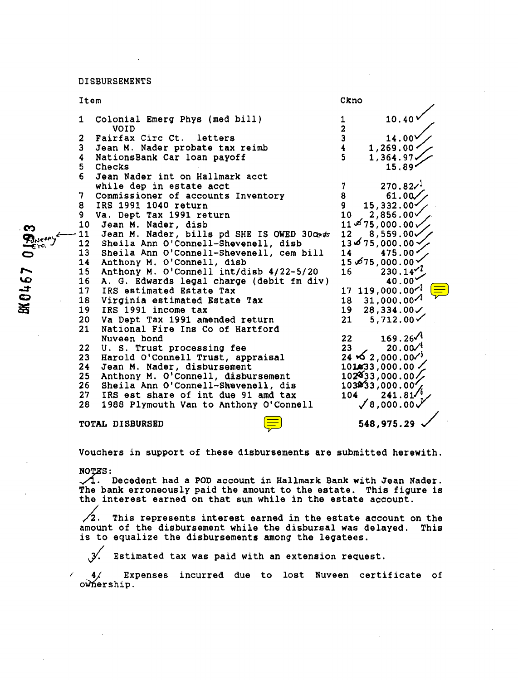**DISBURSEMENTS** 

| Item            |                                             | Ckno                                  |
|-----------------|---------------------------------------------|---------------------------------------|
| $\mathbf{1}$    | Colonial Emerg Phys (med bill)<br>VOID      | 10.40<br>1<br>$\overline{\mathbf{2}}$ |
| $\mathbf{z}$    | Fairfax Circ Ct. letters                    | 3<br>14.00\                           |
| 3               | Jean M. Nader probate tax reimb             | 1,269.00<br>4                         |
| 4               | NationsBank Car loan payoff                 | 5<br>1,364.97                         |
| 5               | Checks                                      | 15.89                                 |
| 6               | Jean Nader int on Hallmark acct             |                                       |
|                 | while dep in estate acct                    | 270.82 <sup>3</sup><br>7              |
|                 | 7 Commissioner of accounts Inventory        | 8<br>61.00                            |
|                 | 8 IRS 1991 1040 return                      | 15,332.00<br>9                        |
| 9.              | Va. Dept Tax 1991 return                    | $2,856.00\%$<br>10                    |
| 10              | Jean M. Nader, disb                         | $11\frac{1}{2}75,000.006$             |
| 11              | Jean M. Nader, bills pd SHE IS OWED 300ests | $8,559.00 \times$<br>12               |
| 12 <sub>1</sub> | Sheila Ann O'Connell-Shevenell, disb        | $13 \times 75,000.00$                 |
| 13 <sub>1</sub> | Sheila Ann O'Connell-Shevenell, cem bill    | 475.00<br>14                          |
| 14              | Anthony M. O'Connell, disb                  | $15\sqrt{75}$ ,000.00                 |
| 15              | Anthony M. O'Connell int/disb 4/22-5/20     | 16<br>230.14                          |
| 16              | A. G. Edwards legal charge (debit fm div)   | 40.00                                 |
| 17 <sub>1</sub> | IRS estimated Estate Tax                    | $17, 119, 000, 00$ <sup>1</sup>       |
| 18              | Virginia estimated Estate Tax               | $18 \quad 31,000.00^{10}$             |
| 19              | IRS 1991 income tax                         | 28,334.00/<br>19                      |
| 20 <sub>o</sub> | Va Dept Tax 1991 amended return             | 21<br>$5,712.00\checkmark$            |
| 21              | National Fire Ins Co of Hartford            |                                       |
|                 | Nuveen bond                                 | 169.26 <sup>4</sup><br>22             |
| 22              | U. S. Trust processing fee                  | 20.00 <sup>4</sup><br>23              |
| 23              | Harold O'Connell Trust, appraisal           | $24.000.00$ <sup>2</sup>              |
| 24              | Jean M. Nader, disbursement                 | 101433,000.00.                        |
| 25              | Anthony M. O'Connell, disbursement          | 102433,000.00/                        |
| 26              | Sheila Ann O'Connell-Shevenell, dis         | 103933,000.00                         |
| 27 <sub>2</sub> | IRS est share of int due 91 amd tax         | 241.81'<br>104                        |
| 28              | 1988 Plymouth Van to Anthony O'Connell      | $\sqrt{8}$ ,000.00 $\sqrt{ }$         |
|                 | TOTAL DISBURSED                             | 548,975.29                            |

Vouchers in support of these disbursements are submitted herewith.

NOTES:

1. Decedent had a POD account in Hallmark Bank with Jean Nader.<br>The bank erroneously paid the amount to the estate. This figure is the interest earned on that sum while in the estate account.

 $\sqrt{2}$ . This represents interest earned in the estate account on the amount of the disbursement while the disbursal was delayed. This is to equalize the disbursements among the legatees.

 $\mathcal{Y}$ Estimated tax was paid with an extension request.

Expenses incurred due to lost Nuveen certificate of  $4/$ ownership.

 $35^{10}_{60}$  240M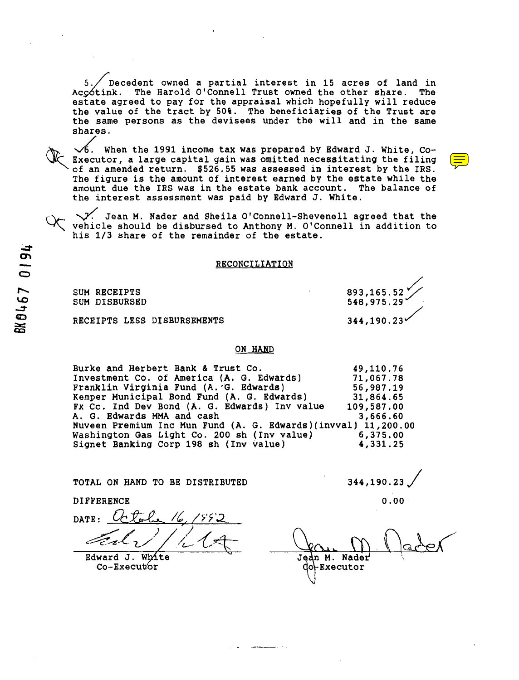5. Decedent owned a partial interest in 15 acres of land in Accotink. The Harold O'Connell Trust owned the other share. The estate agreed to pay for the appraisal which hopefully will reduce the value of the tract by 50%. The beneficiaries of the Trust are the same persons as the devisees under the will and in the same shares.

 $\sqrt{6}$ . When the 1991 income tax was prepared by Edward J. White, Co-Executor, a large capital gain was omitted necessitating the filing of an amended return. \$526.55 was assessed in interest by the IRS. The figure is the amount of interest earned by the estate while the amount due the IRS was in the estate bank account. The balance of the interest assessment was paid by Edward J. White.

V. Jean M. Nader and Sheila O'Connell-Shevenell agreed that the vehicle should be disbursed to Anthony M. O'Connell in addition to his 1/3 share of the remainder of the estate.

### RECONCILIATION

SUM RECEIPTS SUM DISBURSED

RECEIPTS LESS DISBURSEMENTS

### ON HAND

Burke and Herbert Bank & Trust Co. 49,110.76 Investment Co. of America (A. G. Edwards) 71,067.78 Franklin Virginia Fund (A. G. Edwards) 56,987.19 Kemper Municipal Bond Fund (A. G. Edwards) 31,864.65 Fx Co. Ind Dev Bond (A. G. Edwards) Inv value 109,587.00 A. G. Edwards MMA and cash 3,666.60 Nuveen Premium Inc Mun Fund (A. G. Edwards)(invval) 11,200.00 6,375.00 Washington Gas Light Co. 200 sh (Inv value) Signet Banking Corp 198 sh (Inv value) 4,331.25

TOTAL ON HAND TO BE DISTRIBUTED

**DIFFERENCE** 

DATE:  $U \mathcal{F}$ 

Edward J. White  $Co-Execut'or$ 

344,190.23

893,165.52

548,975.29

344,190.23

 $0.00 \cdot$ 

Jeàn M. Nader

dol-Executor

BK8467 0194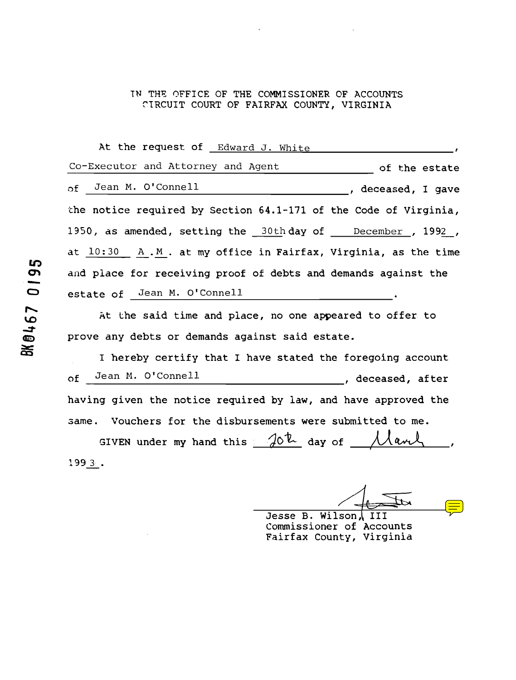### THE OFFICE OF THE COMMISSIONER OF ACCOUNTS CIRCUIT COURT OF FAIRFAX COUNTY, VIRGINIA

At the request of Edward J. White Co-Executor and Attorney and Agent of the estate of Jean M. O'Connell deceased, I gave the notice required by Section 64.1-171 of the Code of Virginia, 1950, as amended, setting the 30th day of December, 1992, at 10:30 A.M. at my office in Fairfax, Virginia, as the time and place for receiving proof of debts and demands against the estate of Jean M. O'Connell

At the said time and place, no one appeared to offer to prove any debts or demands against said estate.

I hereby certify that I have stated the foregoing account of Jean M. O'Connell deceased, after having given the notice required by law, and have approved the same. Vouchers for the disbursements were submitted to me.

GIVEN under my hand this  $\partial^{\alpha} \mathcal{L}$  day of  $\Lambda \Lambda$ ant  $1993$ .

Jesse B. Wilson.

III Commissioner of Accounts Fairfax County, Virginia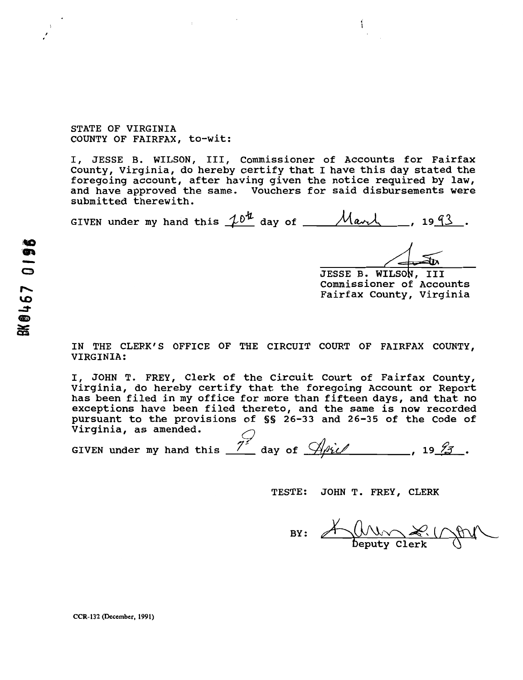STATE OF VIRGINIA COUNTY OF FAIRFAX, to-wit:

I, JESSE B. WILSON, III, Commissioner of Accounts for Fairfax County, Virginia, do hereby certify that I have this day stated the foregoing account, after having given the notice required by law, and have approved the same. Vouchers for said disbursements were submitted therewith.

GIVEN under my hand this  $10^{4}$  day of  $M$ arl, 1993.

ăм

JESSE B. WILSON, III Commissioner of Accounts Fairfax County, Virginia

1

IN THE CLERK'S OFFICE OF THE CIRCUIT COURT OF FAIRFAX COUNTY, VIRGINIA:

I, JOHN T. FREY, Clerk of the Circuit Court of Fairfax County, Virginia, do hereby certify that the foregoing Account or Report has been filed in my office for more than fifteen days, and that no exceptions have been filed thereto, and the same is now recorded pursuant to the provisions of §§ 26-33 and 26-35 of the Code of Virginia, as amended.

Virginia, as amended.<br>GIVEN under my hand this  $\frac{\gamma^2}{\gamma}$  day of  $\frac{\gamma}{\gamma}$  .

**TESTE:** JOHN T. FREY, CLERK

BY:  $\land \text{W} \times \text{Clerk}$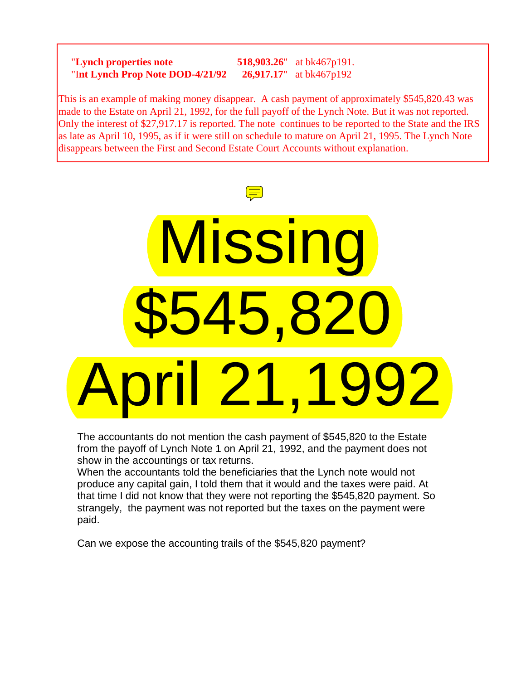# "**Lynch properties note 518,903.26**" at bk467p191. "I**nt Lynch Prop Note DOD-4/21/92 26,917.17**" at bk467p192

This is an example of making money disappear. A cash payment of approximately \$545,820.43 was made to the Estate on April 21, 1992, for the full payoff of the Lynch Note. But it was not reported. Only the interest of \$27,917.17 is reported. The note continues to be reported to the State and the IRS as late as April 10, 1995, as if it were still on schedule to mature on April 21, 1995. The Lynch Note disappears between the First and Second Estate Court Accounts without explanation.



The accountants do not mention the cash payment of \$545,820 to the Estate from the payoff of Lynch Note 1 on April 21, 1992, and the payment does not show in the accountings or tax returns.

When the accountants told the beneficiaries that the Lynch note would not produce any capital gain, I told them that it would and the taxes were paid. At that time I did not know that they were not reporting the \$545,820 payment. So strangely, the payment was not reported but the taxes on the payment were paid.

Can we expose the accounting trails of the \$545,820 payment?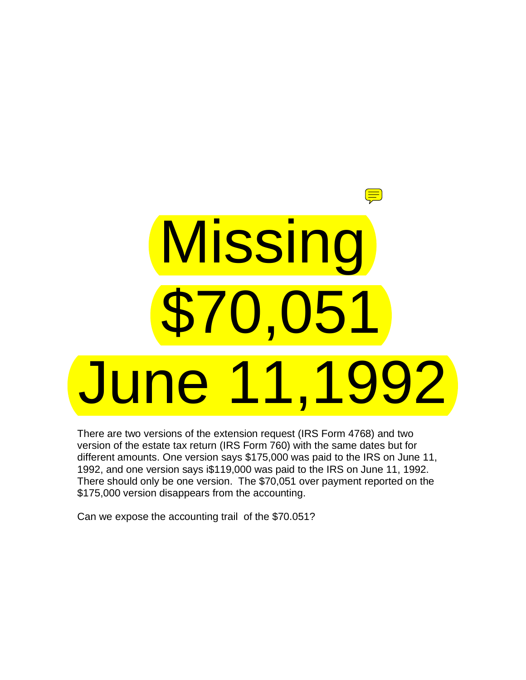# $\equiv$ Missing 0,051 June 11,1992

There are two versions of the extension request (IRS Form 4768) and two version of the estate tax return (IRS Form 760) with the same dates but for different amounts. One version says \$175,000 was paid to the IRS on June 11, 1992, and one version says i\$119,000 was paid to the IRS on June 11, 1992. There should only be one version. The \$70,051 over payment reported on the \$175,000 version disappears from the accounting.

Can we expose the accounting trail of the \$70.051?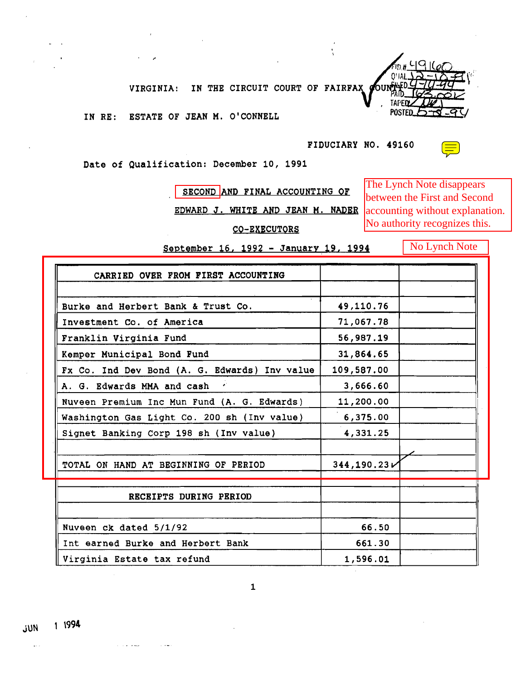IN THE CIRCUIT COURT OF FAIRFAX VIRGINIA:

ESTATE OF JEAN M. O'CONNELL IN RE:

FIDUCIARY NO. 49160

Date of Qualification: December 10, 1991

SECOND AND FINAL ACCOUNTING OF

**EDWARD J. WHITE AND JEAN M. NADER**  $|{\rm{accounting}}$  without explanation.

CO-EXECUTORS

September 16, 1992 - January 19, 1994

No Lynch Note

The Lynch Note disappears

between the First and Second

No authority recognizes this.

| CARRIED OVER FROM FIRST ACCOUNTING            |                  |  |
|-----------------------------------------------|------------------|--|
| Burke and Herbert Bank & Trust Co.            | 49,110.76        |  |
| Investment Co. of America                     | 71,067.78        |  |
| Franklin Virginia Fund                        | 56,987.19        |  |
| Kemper Municipal Bond Fund                    | 31,864.65        |  |
| Fx Co. Ind Dev Bond (A. G. Edwards) Inv value | 109,587.00       |  |
| A. G. Edwards MMA and cash<br>$\star$         | 3,666.60         |  |
| Nuveen Premium Inc Mun Fund (A. G. Edwards)   | 11,200.00        |  |
| Washington Gas Light Co. 200 sh (Inv value)   | 6,375.00         |  |
| Signet Banking Corp 198 sh (Inv value)        | 4,331.25         |  |
| TOTAL ON HAND AT BEGINNING OF PERIOD          | $344, 190.23\nu$ |  |
| RECEIPTS DURING PERIOD                        |                  |  |
| Nuveen ck dated 5/1/92                        | 66.50            |  |
| Int earned Burke and Herbert Bank             | 661.30           |  |
| Virginia Estate tax refund                    | 1,596.01         |  |

1 1994 **JUN** 

and a series

 $\mathcal{L}_{\mathcal{F}}$  .



 $\mathbf{1}$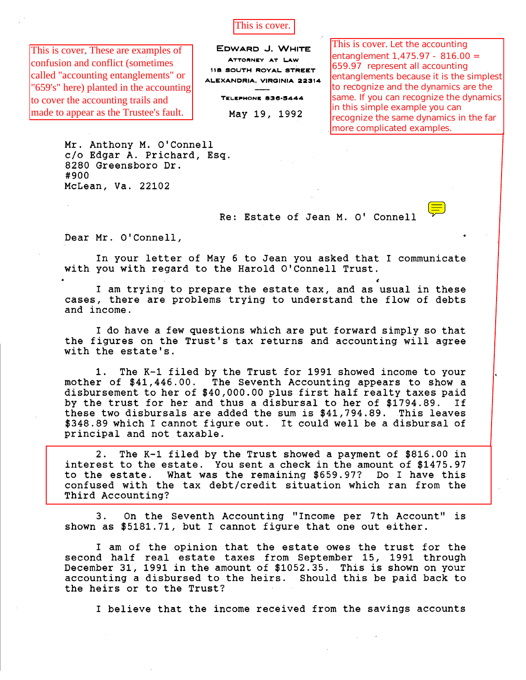This is cover.

This is cover. These are examples of confusion and conflict (sometimes called "accounting entanglements" or "659's" here) planted in the accounting to cover the accounting trails and made to appear as the Trustee's fault.

EDWARD J. WHITE ATTORNEY AT LAW 118 SOUTH ROYAL STREET ALEXANDRIA, VIRGINIA 22314

TELEPHONE 836-5444

May 19, 1992

This is cover. Let the accounting entanglement  $1,475.97 - 816.00 =$ 659.97 represent all accounting entanglements because it is the simplest to recognize and the dynamics are the same. If you can recognize the dynamics in this simple example you can recognize the same dynamics in the far more complicated examples.

Mr. Anthony M. O'Connell c/o Edgar A. Prichard, Esq. 8280 Greensboro Dr. #900 McLean, Va. 22102

Re: Estate of Jean M. O' Connell



Dear Mr. O'Connell,

In your letter of May 6 to Jean you asked that I communicate with you with regard to the Harold O'Connell Trust.

I am trying to prepare the estate tax, and as usual in these cases, there are problems trying to understand the flow of debts and income.

I do have a few questions which are put forward simply so that the figures on the Trust's tax returns and accounting will agree with the estate's.

The K-1 filed by the Trust for 1991 showed income to your  $1.$ mother of \$41,446.00. The Seventh Accounting appears to show a disbursement to her of \$40,000.00 plus first half realty taxes paid by the trust for her and thus a disbursal to her of \$1794.89. If these two disbursals are added the sum is \$41,794.89. This leaves \$348.89 which I cannot figure out. It could well be a disbursal of principal and not taxable.

 $2.$ The K-1 filed by the Trust showed a payment of \$816.00 in interest to the estate. You sent a check in the amount of \$1475.97 to the estate. What was the remaining \$659.97? Do I have this confused with the tax debt/credit situation which ran from the Third Accounting?

On the Seventh Accounting "Income per 7th Account" is З. shown as \$5181.71, but I cannot figure that one out either.

I am of the opinion that the estate owes the trust for the second half real estate taxes from September 15, 1991 through December 31, 1991 in the amount of \$1052.35. This is shown on your accounting a disbursed to the heirs. Should this be paid back to the heirs or to the Trust?

I believe that the income received from the savings accounts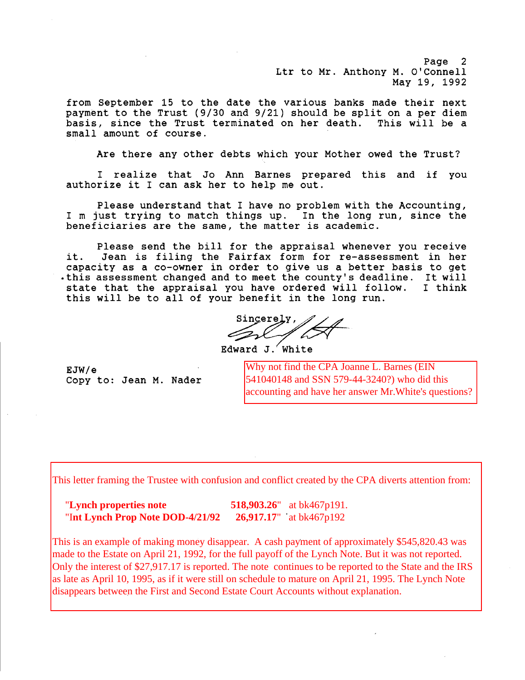Page 2 Ltr to Mr. Anthony M. O'Connell May 19, 1992

from September 15 to the date the various banks made their next payment to the Trust (9/30 and 9/21) should be split on a per diem basis, since the Trust terminated on her death. This will be a small amount of course.

Are there any other debts which your Mother owed the Trust?

I realize that Jo Ann Barnes prepared this and if you authorize it I can ask her to help me out.

Please understand that I have no problem with the Accounting, I m just trying to match things up. In the long run, since the beneficiaries are the same, the matter is academic.

Please send the bill for the appraisal whenever you receive Jean is filing the Fairfax form for re-assessment in her it. capacity as a co-owner in order to give us a better basis to get this assessment changed and to meet the county's deadline. It will I think state that the appraisal you have ordered will follow. this will be to all of your benefit in the long run.

Singerely,

 $Rdward$  J. White

 $EJW/e$ Copy to: Jean M. Nader

Why not find the CPA Joanne L. Barnes (EIN 541040148 and SSN 579-44-3240?) who did this accounting and have her answer Mr. White's questions?

This letter framing the Trustee with confusion and conflict created by the CPA diverts attention from:

**518,903.26**" at bk467p191. "Lynch properties note "Int Lynch Prop Note DOD-4/21/92 26,917.17" at bk467p192

This is an example of making money disappear. A cash payment of approximately \$545,820.43 was made to the Estate on April 21, 1992, for the full payoff of the Lynch Note. But it was not reported. Only the interest of \$27,917.17 is reported. The note continues to be reported to the State and the IRS as late as April 10, 1995, as if it were still on schedule to mature on April 21, 1995. The Lynch Note disappears between the First and Second Estate Court Accounts without explanation.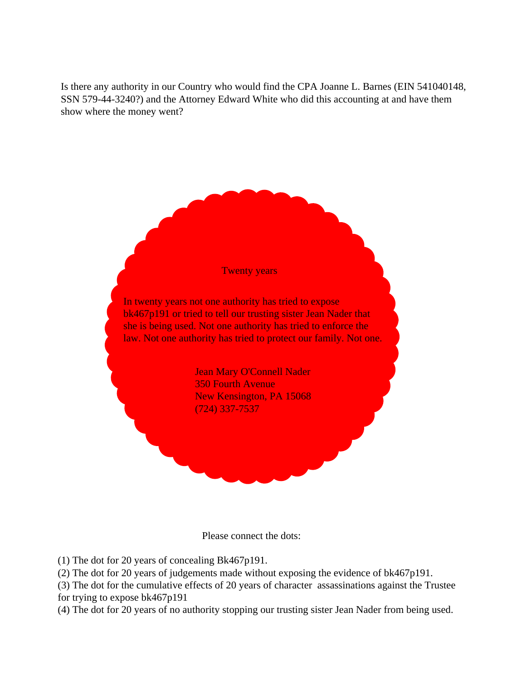Is there any authority in our Country who would find the CPA Joanne L. Barnes (EIN 541040148, SSN 579-44-3240?) and the Attorney Edward White who did this accounting at and have them show where the money went?



Please connect the dots:

(1) The dot for 20 years of concealing Bk467p191.

(2) The dot for 20 years of judgements made without exposing the evidence of bk467p191.

(3) The dot for the cumulative effects of 20 years of character assassinations against the Trustee for trying to expose bk467p191

(4) The dot for 20 years of no authority stopping our trusting sister Jean Nader from being used.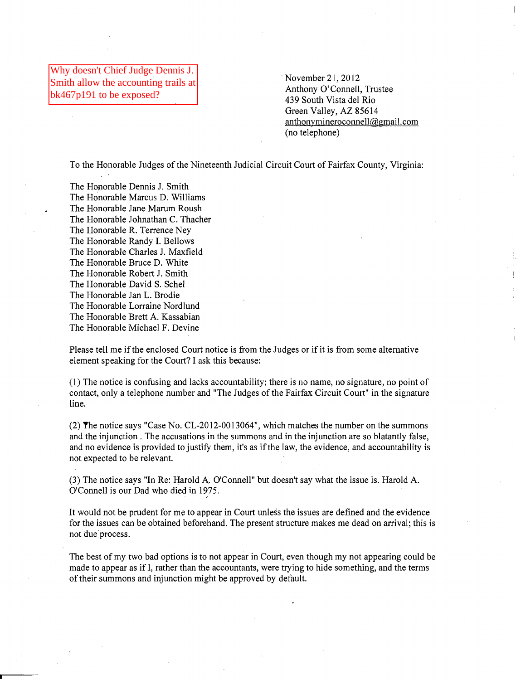Why doesn't Chief Judge Dennis J. Smith allow the accounting trails at bk467p191 to be exposed?

November 21,2012 Anthony O'Connell, Trustee 439 South Vista del Rio Green Valley, AZ 85614 anthonymineroconnell@gmail.com (no telephone)

To the Honorable Judges of the Nineteenth Judicial Circuit Court of Fairfax County, Virginia:

The Honorable Dennis J. Smith The Honorable Marcus D. Williams The Honorable Jane Marum Roush The Honorable Johnathan C. Thacher The Honorable R. Terrence Ney The Honorable Randy I. Bellows The Honorable Charles 1. Maxfield The Honorable Bruce D. White The Honorable Robert J. Smith The Honorable David S. Schel The Honorable Jan L. Brodie The Honorable Lorraine Nordlund The Honorable Brett A. Kassabian The Honorable Michael F. Devine

Please tell me ifthe enclosed Court notice is from the Judges or ifit is from some alternative element speaking for the Court? I ask this because:

(l) The notice is confusing and lacks accountability; there is no name, no signature, no point of contact, only a telephone number and "The Judges of the Fairfax Circuit Court" in the signature line.

(2) The notice says "Case No. CL-20l2-00l3064", which matches the number on the summons and the injunction. The accusations in the summons and in the injunction are so blatantly false, and no evidence is provided to justify them, it's as ifthe law, the evidence, and accountability is not expected to be relevant.

(3) The notice says "In Re: Harold A. O'Connell" but doesn't say what the issue is. Harold A. O'Connell is our Dad who died in 1975.

It would not be prudent for me to appear in Court unless the issues are defined and the evidence for the issues can be obtained beforehand. The present structure makes me dead on arrival; this is not due process.

The best of my two bad options is to not appear in Court, even though my not appearing could be made to appear as ifI, rather than the accountants, were trying to hide something, and the terms of their summons and injunction might be approved by default.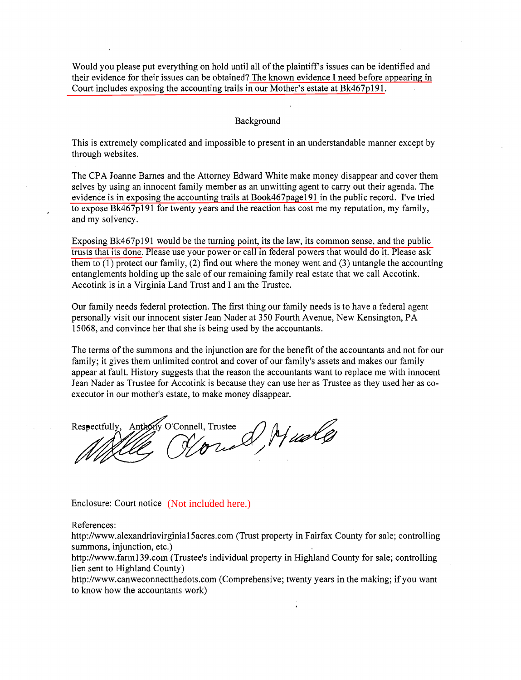Would you please put everything on hold until all of the plaintiff's issues can be identified and their evidence for their issues can be obtained? The known evidence I need before appearing in Court includes exposing the accounting trails in our Mother's estate at Bk467p191.

### Background

This is extremely complicated and impossible to present in an understandable manner except by through websites.

The CPA Joanne Barnes and the Attorney Edward White make money disappear and cover them selves by using an innocent family member as an unwitting agent to carry out their agenda. The evidence is in exposing the accounting trails at Book467page191 in the public record. I've tried to expose Bk467p191 for twenty years and the reaction has cost me my reputation, my family, and my solvency.

Exposing Bk467p191 would be the turning point, its the law, its common sense, and the public trusts that its done. Please use your power or call in federal powers that would do it. Please ask them to  $(1)$  protect our family,  $(2)$  find out where the money went and  $(3)$  untangle the accounting entanglements holding up the sale of our remaining family real estate that we call Accotink. Accotink is in a Virginia Land Trust and I am the Trustee.

Our family needs federal protection. The first thing our family needs is to have a federal agent personally visit our innocent sister Jean Nader at 350 Fourth Avenue, New Kensington, PA 15068, and convince her that she is being used by the accountants.

The terms of the summons and the injunction are for the benefit of the accountants and not for our family; it gives them unlimited control and cover of our family's assets and makes our family appear at fault. History suggests that the reason the accountants want to replace me with innocent Jean Nader as Trustee for Accotink is because they can use her as Trustee as they used her as coexecutor in our mother's estate, to make money disappear.

Respectfully, Anthony O'Connell, Trustee Trustee of Musles

Enclosure: Court notice (Not included here.)

References:

http://www.alexandriavirginiaI5acres.com (Trust property in Fairfax County for sale; controlling summons, injunction, etc.)

http://www.farmI39.com (Trustee's individual property in Highland County for sale; controlling lien sent to Highland County)

http://www.canweconnectthedots.com (Comprehensive; twenty years in the making; if you want to know how the accountants work)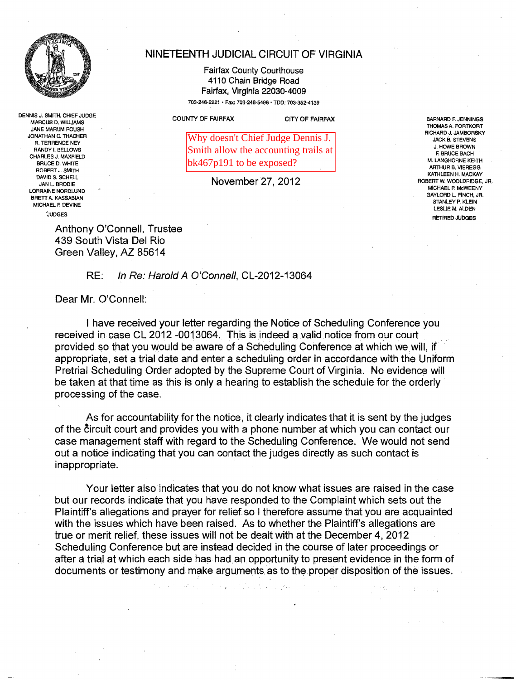

### DENNIS J. SMITH, CHIEF JUDGE MARCUS D. WILLIAMS JANE MARUM ROUSH JONATHAN C. THACHER R. TERRENCE NEY RANDY I. BELLOWS CHARLES J. MAXFIELD BRUCE D. WHITE ROBERT J. SMITH DAVID S. SCHELL JAN l. BRODIE LORRAINE NORDLUND BRETT A. KASSABIAN MICHAEl F. DEVINE 'JUDGES

# NINETEENTH JUDICIAL CIRCUIT OF VIRGINIA

Fairfax County Courthouse 4110 Chain Bridge Road Fairfax, Virginia 22030-4009 703·246·2221 • Fax: 703·246·5496' TOO: 703-352-4139

COUNTY OF FAIRFAX CITY OF FAIRFAX BARNARD F. JENNINGS

Why doesn't Chief Judge Dennis J. Smith allow the accounting trails at bk467p191 to be exposed?

November27, 2012

THOMASA. FORTKORT RICHARD J. JAMBORSKY JACK B. STEVENS J. HOWE BROWN F. BRUCE BACH M. LANGHORNE KEITH ARTHUR B. VIEREGG KATHLEEN H. MACKAY ROBERT W. WOOLDRIDGE, JR. MICHAEL P. MoWEENY GAYlORD l. FINCH, JR. STANLEY P. KLEIN LESliE M. AlDEN **RETIRED JUDGES** 

Anthony O'Connell, Trustee 439 South Vista Del Rio Green Valley, AZ 85614

RE: In Re: Harold A O'Connell, CL-2012-13064

Dear Mr. O'Connell:

I have received your letter regarding the Notice of Scheduling Conference you received in case CL 2012 -0013064. This is indeed a valid notice from our court provided so that you would be aware of a Scheduling Conference at which we will, if appropriate, set a trial date and enter a scheduling order in accordance with the Uniform Pretrial Scheduling Order adopted by the Supreme Court of Virginia. No evidence will be taken at that time as this is only a hearing to establish the schedule for the orderly processing of the case.

As for accountability for the notice, it clearly indicates that it is sent by the judges of the circuit court and provides you with a phone number at which you can contact our case management staff with regard to the Scheduling Conference. We would not send out a notice indicating that you can contact the judges directly as such contact is inappropriate.

Your letter also indicates that you do not know what issues are raised in the case but our records indicate that you have responded to the Complaint which sets out the Plaintiff's allegations and prayer for relief so I therefore assume that you are acquainted with the issues which have been raised. As to whether the Plaintiff's allegations are true or merit relief, these issues will not be dealt with at the December 4,2012 Scheduling Conference but are instead decided in the course of later proceedings or after a trial at which each side has had an opportunity to present evidence in the form of documents or testimony and make arguments as to the proper disposition of the issues.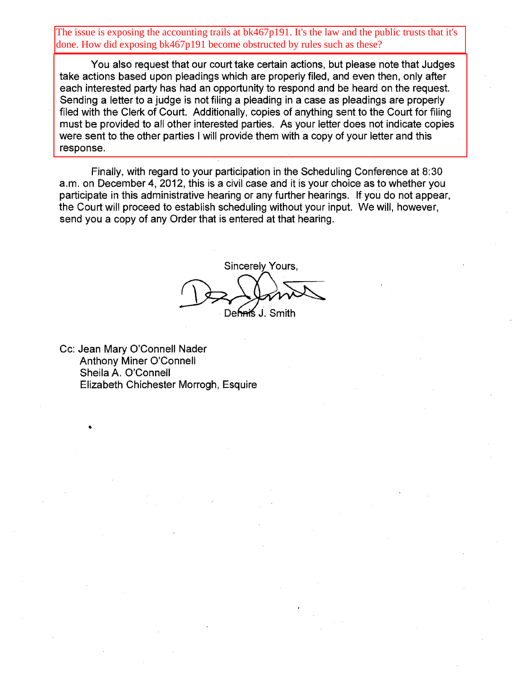The issue is exposing the accounting trails at bk467p191. It's the law and the public trusts that it's done. How did exposing bk467p191 become obstructed by rules such as these?

You also request that our court take certain actions, but please note that Judges take actions based upon pleadings which are properly filed, and even then, only after each interested party has had an opportunity to respond and be heard on the request. Sending a letter to a judge is not filing a pleading in a case as pleadings are properly filed with the Clerk of Court. Additionally, copies of anything sent to the Court for filing must be provided to all other interested parties. As your letter does not indicate copies were sent to the other parties I will provide them with a copy of your letter and this response.

Finally, with regard to your participation in the Scheduling Conference at 8:30 a.m. on December 4,2012, this is a civil case and it is your choice as to whether you participate in this administrative hearing or any further hearings. If you do not appear, the Court will proceed to establish scheduling without your input. We will, however, send you a copy of any Order that is entered at that hearing.

Sincerely Yours, Definition J. Smith

Cc: Jean Mary O'Connell Nader Anthony Miner O'Connell Sheila A. O'Connell Elizabeth Chichester Morrogh, Esquire